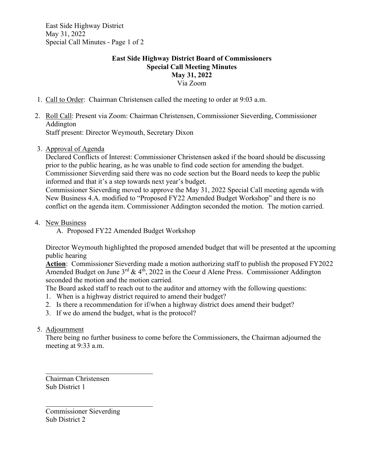East Side Highway District May 31, 2022 Special Call Minutes - Page 1 of 2

## **East Side Highway District Board of Commissioners Special Call Meeting Minutes May 31, 2022** Via Zoom

- 1. Call to Order: Chairman Christensen called the meeting to order at 9:03 a.m.
- 2. Roll Call: Present via Zoom: Chairman Christensen, Commissioner Sieverding, Commissioner Addington Staff present: Director Weymouth, Secretary Dixon
- 3. Approval of Agenda

Declared Conflicts of Interest: Commissioner Christensen asked if the board should be discussing prior to the public hearing, as he was unable to find code section for amending the budget. Commissioner Sieverding said there was no code section but the Board needs to keep the public informed and that it's a step towards next year's budget.

Commissioner Sieverding moved to approve the May 31, 2022 Special Call meeting agenda with New Business 4.A. modified to "Proposed FY22 Amended Budget Workshop" and there is no conflict on the agenda item. Commissioner Addington seconded the motion. The motion carried.

- 4. New Business
	- A. Proposed FY22 Amended Budget Workshop

Director Weymouth highlighted the proposed amended budget that will be presented at the upcoming public hearing

**Action**: Commissioner Sieverding made a motion authorizing staff to publish the proposed FY2022 Amended Budget on June  $3^{rd}$  &  $4^{t}$ , 2022 in the Coeur d Alene Press. Commissioner Addington seconded the motion and the motion carried.

The Board asked staff to reach out to the auditor and attorney with the following questions:

- 1. When is a highway district required to amend their budget?
- 2. Is there a recommendation for if/when a highway district does amend their budget?
- 3. If we do amend the budget, what is the protocol?

## 5. Adjournment

There being no further business to come before the Commissioners, the Chairman adjourned the meeting at 9:33 a.m.

Chairman Christensen Sub District 1

Commissioner Sieverding Sub District 2